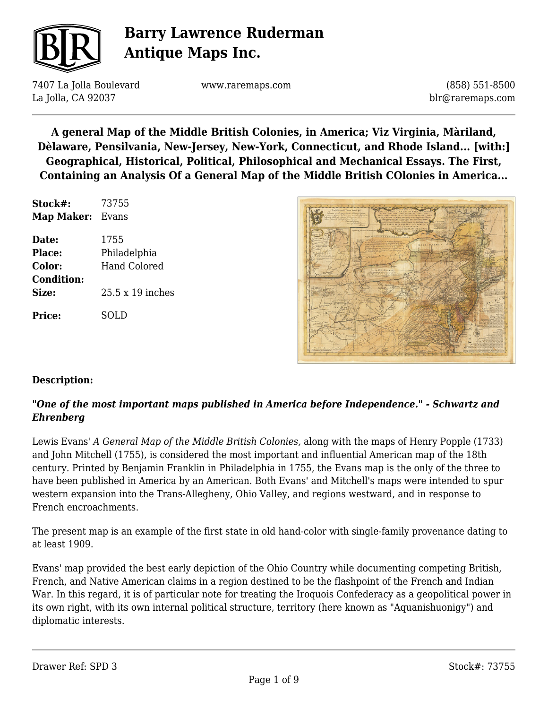

7407 La Jolla Boulevard La Jolla, CA 92037

www.raremaps.com

(858) 551-8500 blr@raremaps.com

**A general Map of the Middle British Colonies, in America; Viz Virginia, Màriland, Dèlaware, Pensilvania, New-Jersey, New-York, Connecticut, and Rhode Island... [with:] Geographical, Historical, Political, Philosophical and Mechanical Essays. The First, Containing an Analysis Of a General Map of the Middle British COlonies in America...**

| Stock#:           | 73755            |
|-------------------|------------------|
| <b>Map Maker:</b> | Evans            |
| Date:             | 1755             |
| Place:            | Philadelphia     |
| Color:            | Hand Colored     |
| <b>Condition:</b> |                  |
| Size:             | 25.5 x 19 inches |
| <b>Price:</b>     | SOLD             |



#### **Description:**

#### *"One of the most important maps published in America before Independence." - Schwartz and Ehrenberg*

Lewis Evans' *A General Map of the Middle British Colonies,* along with the maps of Henry Popple (1733) and John Mitchell (1755), is considered the most important and influential American map of the 18th century. Printed by Benjamin Franklin in Philadelphia in 1755, the Evans map is the only of the three to have been published in America by an American. Both Evans' and Mitchell's maps were intended to spur western expansion into the Trans-Allegheny, Ohio Valley, and regions westward, and in response to French encroachments.

The present map is an example of the first state in old hand-color with single-family provenance dating to at least 1909.

Evans' map provided the best early depiction of the Ohio Country while documenting competing British, French, and Native American claims in a region destined to be the flashpoint of the French and Indian War. In this regard, it is of particular note for treating the Iroquois Confederacy as a geopolitical power in its own right, with its own internal political structure, territory (here known as "Aquanishuonigy") and diplomatic interests.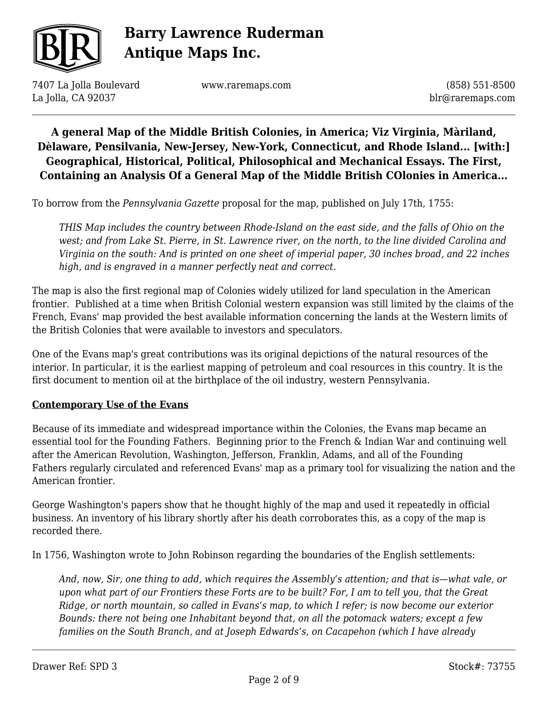

7407 La Jolla Boulevard La Jolla, CA 92037

www.raremaps.com

(858) 551-8500 blr@raremaps.com

### **A general Map of the Middle British Colonies, in America; Viz Virginia, Màriland, Dèlaware, Pensilvania, New-Jersey, New-York, Connecticut, and Rhode Island... [with:] Geographical, Historical, Political, Philosophical and Mechanical Essays. The First, Containing an Analysis Of a General Map of the Middle British COlonies in America...**

To borrow from the *Pennsylvania Gazette* proposal for the map, published on July 17th, 1755:

*THIS Map includes the country between Rhode-Island on the east side, and the falls of Ohio on the west; and from Lake St. Pierre, in St. Lawrence river, on the north, to the line divided Carolina and Virginia on the south: And is printed on one sheet of imperial paper, 30 inches broad, and 22 inches high, and is engraved in a manner perfectly neat and correct.*

The map is also the first regional map of Colonies widely utilized for land speculation in the American frontier. Published at a time when British Colonial western expansion was still limited by the claims of the French, Evans' map provided the best available information concerning the lands at the Western limits of the British Colonies that were available to investors and speculators.

One of the Evans map's great contributions was its original depictions of the natural resources of the interior. In particular, it is the earliest mapping of petroleum and coal resources in this country. It is the first document to mention oil at the birthplace of the oil industry, western Pennsylvania.

#### **Contemporary Use of the Evans**

Because of its immediate and widespread importance within the Colonies, the Evans map became an essential tool for the Founding Fathers. Beginning prior to the French & Indian War and continuing well after the American Revolution, Washington, Jefferson, Franklin, Adams, and all of the Founding Fathers regularly circulated and referenced Evans' map as a primary tool for visualizing the nation and the American frontier.

George Washington's papers show that he thought highly of the map and used it repeatedly in official business. An inventory of his library shortly after his death corroborates this, as a copy of the map is recorded there.

In 1756, Washington wrote to John Robinson regarding the boundaries of the English settlements:

*And, now, Sir, one thing to add, which requires the Assembly's attention; and that is—what vale, or upon what part of our Frontiers these Forts are to be built? For, I am to tell you, that the Great Ridge, or north mountain, so called in Evans's map, to which I refer; is now become our exterior Bounds: there not being one Inhabitant beyond that, on all the potomack waters; except a few families on the South Branch, and at Joseph Edwards's, on Cacapehon (which I have already*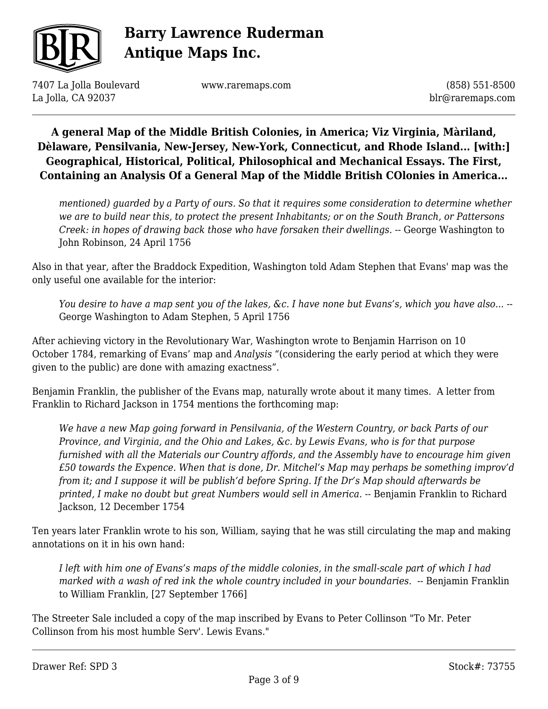

7407 La Jolla Boulevard La Jolla, CA 92037

www.raremaps.com

(858) 551-8500 blr@raremaps.com

**A general Map of the Middle British Colonies, in America; Viz Virginia, Màriland, Dèlaware, Pensilvania, New-Jersey, New-York, Connecticut, and Rhode Island... [with:] Geographical, Historical, Political, Philosophical and Mechanical Essays. The First, Containing an Analysis Of a General Map of the Middle British COlonies in America...**

*mentioned) guarded by a Party of ours. So that it requires some consideration to determine whether we are to build near this, to protect the present Inhabitants; or on the South Branch, or Pattersons Creek: in hopes of drawing back those who have forsaken their dwellings.* -- George Washington to John Robinson, 24 April 1756

Also in that year, after the Braddock Expedition, Washington told Adam Stephen that Evans' map was the only useful one available for the interior:

*You desire to have a map sent you of the lakes, &c. I have none but Evans's, which you have also...* -- George Washington to Adam Stephen, 5 April 1756

After achieving victory in the Revolutionary War, Washington wrote to Benjamin Harrison on 10 October 1784, remarking of Evans' map and *Analysis* "(considering the early period at which they were given to the public) are done with amazing exactness".

Benjamin Franklin, the publisher of the Evans map, naturally wrote about it many times. A letter from Franklin to Richard Jackson in 1754 mentions the forthcoming map:

*We have a new Map going forward in Pensilvania, of the Western Country, or back Parts of our Province, and Virginia, and the Ohio and Lakes, &c. by Lewis Evans, who is for that purpose furnished with all the Materials our Country affords, and the Assembly have to encourage him given £50 towards the Expence. When that is done, Dr. Mitchel's Map may perhaps be something improv'd from it; and I suppose it will be publish'd before Spring. If the Dr's Map should afterwards be* printed, I make no doubt but great Numbers would sell in America. -- Benjamin Franklin to Richard Jackson, 12 December 1754

Ten years later Franklin wrote to his son, William, saying that he was still circulating the map and making annotations on it in his own hand:

*I left with him one of Evans's maps of the middle colonies, in the small-scale part of which I had marked with a wash of red ink the whole country included in your boundaries.* -- Benjamin Franklin to William Franklin, [27 September 1766]

The Streeter Sale included a copy of the map inscribed by Evans to Peter Collinson "To Mr. Peter Collinson from his most humble Serv'. Lewis Evans."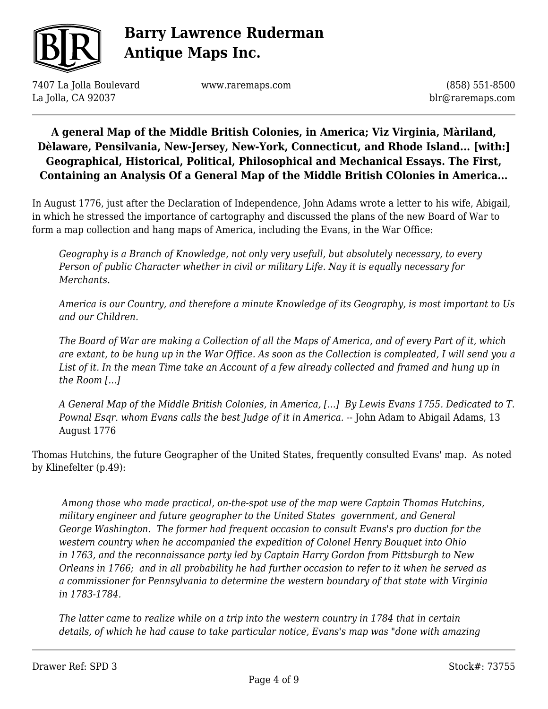

7407 La Jolla Boulevard La Jolla, CA 92037

www.raremaps.com

(858) 551-8500 blr@raremaps.com

### **A general Map of the Middle British Colonies, in America; Viz Virginia, Màriland, Dèlaware, Pensilvania, New-Jersey, New-York, Connecticut, and Rhode Island... [with:] Geographical, Historical, Political, Philosophical and Mechanical Essays. The First, Containing an Analysis Of a General Map of the Middle British COlonies in America...**

In August 1776, just after the Declaration of Independence, John Adams wrote a letter to his wife, Abigail, in which he stressed the importance of cartography and discussed the plans of the new Board of War to form a map collection and hang maps of America, including the Evans, in the War Office:

*Geography is a Branch of Knowledge, not only very usefull, but absolutely necessary, to every Person of public Character whether in civil or military Life. Nay it is equally necessary for Merchants.*

*America is our Country, and therefore a minute Knowledge of its Geography, is most important to Us and our Children.*

*The Board of War are making a Collection of all the Maps of America, and of every Part of it, which are extant, to be hung up in the War Office. As soon as the Collection is compleated, I will send you a List of it. In the mean Time take an Account of a few already collected and framed and hung up in the Room [.*..*]*

*A General Map of the Middle British Colonies, in America, [...] By Lewis Evans 1755. Dedicated to T. Pownal Esqr. whom Evans calls the best Judge of it in America.* -- John Adam to Abigail Adams, 13 August 1776

Thomas Hutchins, the future Geographer of the United States, frequently consulted Evans' map. As noted by Klinefelter (p.49):

 *Among those who made practical, on-the-spot use of the map were Captain Thomas Hutchins, military engineer and future geographer to the United States government, and General George Washington. The former had frequent occasion to consult Evans's pro duction for the western country when he accompanied the expedition of Colonel Henry Bouquet into Ohio in 1763, and the reconnaissance party led by Captain Harry Gordon from Pittsburgh to New Orleans in 1766; and in all probability he had further occasion to refer to it when he served as a commissioner for Pennsylvania to determine the western boundary of that state with Virginia in 1783-1784.*

*The latter came to realize while on a trip into the western country in 1784 that in certain details, of which he had cause to take particular notice, Evans's map was "done with amazing*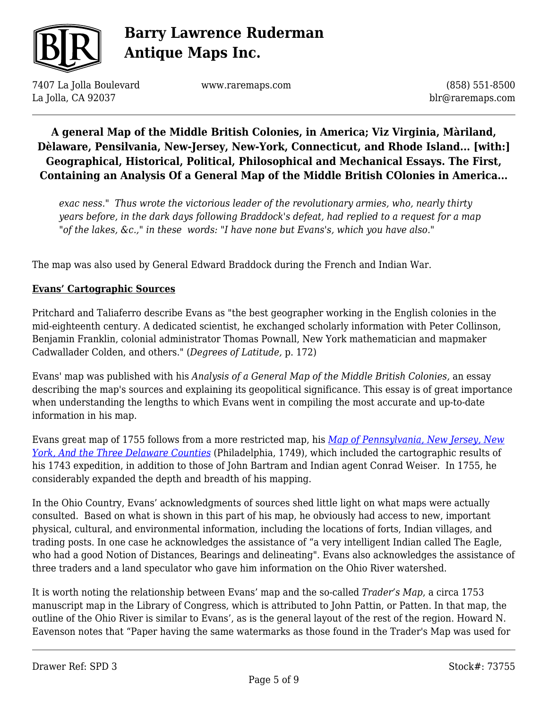

7407 La Jolla Boulevard La Jolla, CA 92037

www.raremaps.com

(858) 551-8500 blr@raremaps.com

### **A general Map of the Middle British Colonies, in America; Viz Virginia, Màriland, Dèlaware, Pensilvania, New-Jersey, New-York, Connecticut, and Rhode Island... [with:] Geographical, Historical, Political, Philosophical and Mechanical Essays. The First, Containing an Analysis Of a General Map of the Middle British COlonies in America...**

*exac ness." Thus wrote the victorious leader of the revolutionary armies, who, nearly thirty years before, in the dark days following Braddock's defeat, had replied to a request for a map "of the lakes, &c.," in these words: "I have none but Evans's, which you have also."*

The map was also used by General Edward Braddock during the French and Indian War.

#### **Evans' Cartographic Sources**

Pritchard and Taliaferro describe Evans as "the best geographer working in the English colonies in the mid-eighteenth century. A dedicated scientist, he exchanged scholarly information with Peter Collinson, Benjamin Franklin, colonial administrator Thomas Pownall, New York mathematician and mapmaker Cadwallader Colden, and others." (*Degrees of Latitude,* p. 172)

Evans' map was published with his *Analysis of a General Map of the Middle British Colonies,* an essay describing the map's sources and explaining its geopolitical significance. This essay is of great importance when understanding the lengths to which Evans went in compiling the most accurate and up-to-date information in his map.

Evans great map of 1755 follows from a more restricted map, his *[Map of Pennsylvania, New Jersey, New](https://www.raremaps.com/gallery/detail/51958) [York, And the Three Delaware Counties](https://www.raremaps.com/gallery/detail/51958)* (Philadelphia, 1749), which included the cartographic results of his 1743 expedition, in addition to those of John Bartram and Indian agent Conrad Weiser. In 1755, he considerably expanded the depth and breadth of his mapping.

In the Ohio Country, Evans' acknowledgments of sources shed little light on what maps were actually consulted. Based on what is shown in this part of his map, he obviously had access to new, important physical, cultural, and environmental information, including the locations of forts, Indian villages, and trading posts. In one case he acknowledges the assistance of "a very intelligent Indian called The Eagle, who had a good Notion of Distances, Bearings and delineating". Evans also acknowledges the assistance of three traders and a land speculator who gave him information on the Ohio River watershed.

It is worth noting the relationship between Evans' map and the so-called *Trader's Map*, a circa 1753 manuscript map in the Library of Congress, which is attributed to John Pattin, or Patten. In that map, the outline of the Ohio River is similar to Evans', as is the general layout of the rest of the region. Howard N. Eavenson notes that "Paper having the same watermarks as those found in the Trader's Map was used for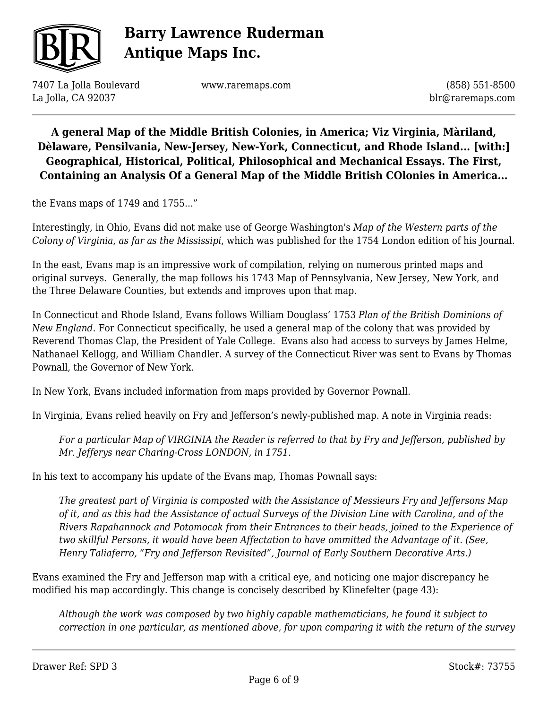

7407 La Jolla Boulevard La Jolla, CA 92037

www.raremaps.com

(858) 551-8500 blr@raremaps.com

### **A general Map of the Middle British Colonies, in America; Viz Virginia, Màriland, Dèlaware, Pensilvania, New-Jersey, New-York, Connecticut, and Rhode Island... [with:] Geographical, Historical, Political, Philosophical and Mechanical Essays. The First, Containing an Analysis Of a General Map of the Middle British COlonies in America...**

the Evans maps of 1749 and 1755..."

Interestingly, in Ohio, Evans did not make use of George Washington's *Map of the Western parts of the Colony of Virginia, as far as the Mississipi*, which was published for the 1754 London edition of his Journal.

In the east, Evans map is an impressive work of compilation, relying on numerous printed maps and original surveys. Generally, the map follows his 1743 Map of Pennsylvania, New Jersey, New York, and the Three Delaware Counties, but extends and improves upon that map.

In Connecticut and Rhode Island, Evans follows William Douglass' 1753 *Plan of the British Dominions of New England*. For Connecticut specifically, he used a general map of the colony that was provided by Reverend Thomas Clap, the President of Yale College. Evans also had access to surveys by James Helme, Nathanael Kellogg, and William Chandler. A survey of the Connecticut River was sent to Evans by Thomas Pownall, the Governor of New York.

In New York, Evans included information from maps provided by Governor Pownall.

In Virginia, Evans relied heavily on Fry and Jefferson's newly-published map. A note in Virginia reads:

*For a particular Map of VIRGINIA the Reader is referred to that by Fry and Jefferson, published by Mr. Jefferys near Charing-Cross LONDON, in 1751.*

In his text to accompany his update of the Evans map, Thomas Pownall says:

*The greatest part of Virginia is composted with the Assistance of Messieurs Fry and Jeffersons Map of it, and as this had the Assistance of actual Surveys of the Division Line with Carolina, and of the Rivers Rapahannock and Potomocak from their Entrances to their heads, joined to the Experience of two skillful Persons, it would have been Affectation to have ommitted the Advantage of it. (See, Henry Taliaferro, "Fry and Jefferson Revisited", Journal of Early Southern Decorative Arts.)*

Evans examined the Fry and Jefferson map with a critical eye, and noticing one major discrepancy he modified his map accordingly. This change is concisely described by Klinefelter (page 43):

*Although the work was composed by two highly capable mathematicians, he found it subject to correction in one particular, as mentioned above, for upon comparing it with the return of the survey*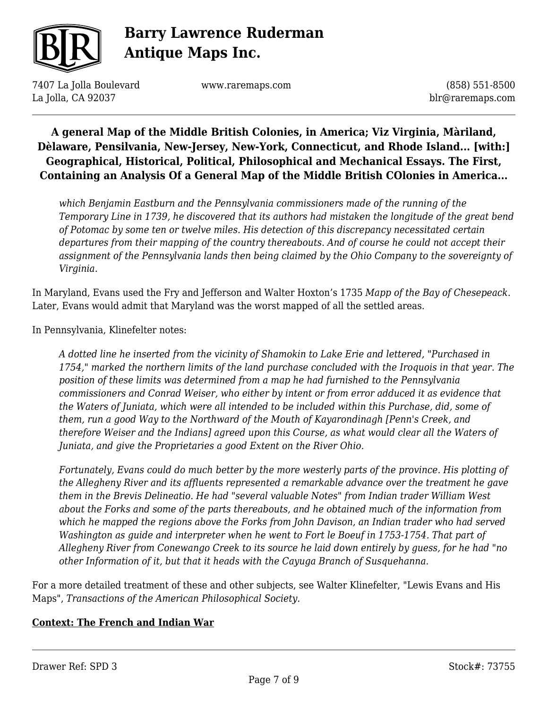

7407 La Jolla Boulevard La Jolla, CA 92037

www.raremaps.com

(858) 551-8500 blr@raremaps.com

### **A general Map of the Middle British Colonies, in America; Viz Virginia, Màriland, Dèlaware, Pensilvania, New-Jersey, New-York, Connecticut, and Rhode Island... [with:] Geographical, Historical, Political, Philosophical and Mechanical Essays. The First, Containing an Analysis Of a General Map of the Middle British COlonies in America...**

*which Benjamin Eastburn and the Pennsylvania commissioners made of the running of the Temporary Line in 1739, he discovered that its authors had mistaken the longitude of the great bend of Potomac by some ten or twelve miles. His detection of this discrepancy necessitated certain departures from their mapping of the country thereabouts. And of course he could not accept their assignment of the Pennsylvania lands then being claimed by the Ohio Company to the sovereignty of Virginia.*

In Maryland, Evans used the Fry and Jefferson and Walter Hoxton's 1735 *Mapp of the Bay of Chesepeack*. Later, Evans would admit that Maryland was the worst mapped of all the settled areas.

In Pennsylvania, Klinefelter notes:

*A dotted line he inserted from the vicinity of Shamokin to Lake Erie and lettered, "Purchased in 1754," marked the northern limits of the land purchase concluded with the Iroquois in that year. The position of these limits was determined from a map he had furnished to the Pennsylvania commissioners and Conrad Weiser, who either by intent or from error adduced it as evidence that the Waters of Juniata, which were all intended to be included within this Purchase, did, some of them, run a good Way to the Northward of the Mouth of Kayarondinagh [Penn's Creek, and therefore Weiser and the Indians] agreed upon this Course, as what would clear all the Waters of Juniata, and give the Proprietaries a good Extent on the River Ohio.*

*Fortunately, Evans could do much better by the more westerly parts of the province. His plotting of the Allegheny River and its affluents represented a remarkable advance over the treatment he gave them in the Brevis Delineatio. He had "several valuable Notes" from Indian trader William West about the Forks and some of the parts thereabouts, and he obtained much of the information from which he mapped the regions above the Forks from John Davison, an Indian trader who had served Washington as guide and interpreter when he went to Fort le Boeuf in 1753-1754. That part of Allegheny River from Conewango Creek to its source he laid down entirely by guess, for he had "no other Information of it, but that it heads with the Cayuga Branch of Susquehanna.*

For a more detailed treatment of these and other subjects, see Walter Klinefelter, "Lewis Evans and His Maps", *Transactions of the American Philosophical Society.*

#### **Context: The French and Indian War**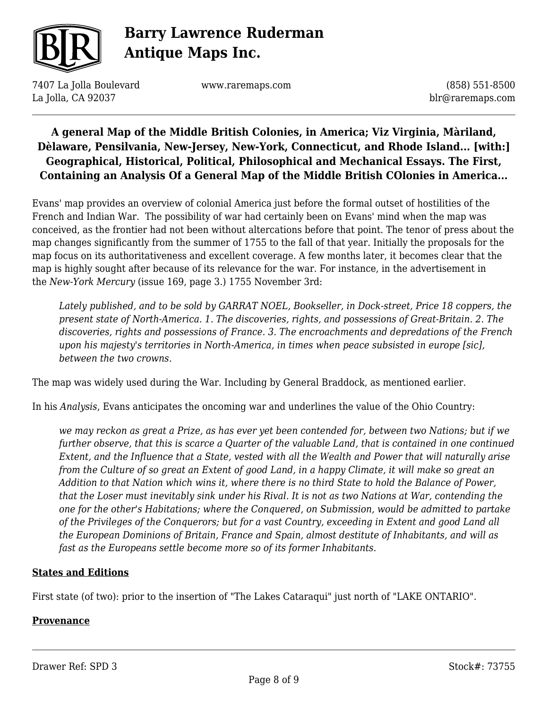

7407 La Jolla Boulevard La Jolla, CA 92037

www.raremaps.com

(858) 551-8500 blr@raremaps.com

### **A general Map of the Middle British Colonies, in America; Viz Virginia, Màriland, Dèlaware, Pensilvania, New-Jersey, New-York, Connecticut, and Rhode Island... [with:] Geographical, Historical, Political, Philosophical and Mechanical Essays. The First, Containing an Analysis Of a General Map of the Middle British COlonies in America...**

Evans' map provides an overview of colonial America just before the formal outset of hostilities of the French and Indian War. The possibility of war had certainly been on Evans' mind when the map was conceived, as the frontier had not been without altercations before that point. The tenor of press about the map changes significantly from the summer of 1755 to the fall of that year. Initially the proposals for the map focus on its authoritativeness and excellent coverage. A few months later, it becomes clear that the map is highly sought after because of its relevance for the war. For instance, in the advertisement in the *New-York Mercury* (issue 169, page 3.) 1755 November 3rd:

*Lately published, and to be sold by GARRAT NOEL, Bookseller, in Dock-street, Price 18 coppers, the present state of North-America. 1. The discoveries, rights, and possessions of Great-Britain. 2. The discoveries, rights and possessions of France. 3. The encroachments and depredations of the French upon his majesty's territories in North-America, in times when peace subsisted in europe [sic], between the two crowns.*

The map was widely used during the War. Including by General Braddock, as mentioned earlier.

In his *Analysis*, Evans anticipates the oncoming war and underlines the value of the Ohio Country:

*we may reckon as great a Prize, as has ever yet been contended for, between two Nations; but if we further observe, that this is scarce a Quarter of the valuable Land, that is contained in one continued Extent, and the Influence that a State, vested with all the Wealth and Power that will naturally arise from the Culture of so great an Extent of good Land, in a happy Climate, it will make so great an Addition to that Nation which wins it, where there is no third State to hold the Balance of Power, that the Loser must inevitably sink under his Rival. It is not as two Nations at War, contending the one for the other's Habitations; where the Conquered, on Submission, would be admitted to partake of the Privileges of the Conquerors; but for a vast Country, exceeding in Extent and good Land all the European Dominions of Britain, France and Spain, almost destitute of Inhabitants, and will as fast as the Europeans settle become more so of its former Inhabitants.*

#### **States and Editions**

First state (of two): prior to the insertion of "The Lakes Cataraqui" just north of "LAKE ONTARIO".

#### **Provenance**